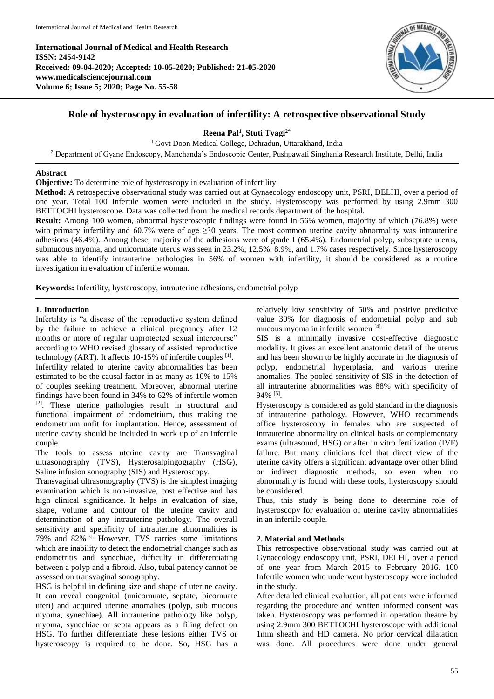**International Journal of Medical and Health Research ISSN: 2454-9142 Received: 09-04-2020; Accepted: 10-05-2020; Published: 21-05-2020 www.medicalsciencejournal.com Volume 6; Issue 5; 2020; Page No. 55-58**



# **Role of hysteroscopy in evaluation of infertility: A retrospective observational Study**

**Reena Pal<sup>1</sup> , Stuti Tyagi2\***

<sup>1</sup> Govt Doon Medical College, Dehradun, Uttarakhand, India <sup>2</sup> Department of Gyane Endoscopy, Manchanda's Endoscopic Center, Pushpawati Singhania Research Institute, Delhi, India

## **Abstract**

**Objective:** To determine role of hysteroscopy in evaluation of infertility.

**Method:** A retrospective observational study was carried out at Gynaecology endoscopy unit, PSRI, DELHI, over a period of one year. Total 100 Infertile women were included in the study. Hysteroscopy was performed by using 2.9mm 300 BETTOCHI hysteroscope. Data was collected from the medical records department of the hospital.

**Result:** Among 100 women, abnormal hysteroscopic findings were found in 56% women, majority of which (76.8%) were with primary infertility and 60.7% were of age  $\geq$ 30 years. The most common uterine cavity abnormality was intrauterine adhesions (46.4%). Among these, majority of the adhesions were of grade I (65.4%). Endometrial polyp, subseptate uterus, submucous myoma, and unicornuate uterus was seen in 23.2%, 12.5%, 8.9%, and 1.7% cases respectively. Since hysteroscopy was able to identify intrauterine pathologies in 56% of women with infertility, it should be considered as a routine investigation in evaluation of infertile woman.

**Keywords:** Infertility, hysteroscopy, intrauterine adhesions, endometrial polyp

# **1. Introduction**

Infertility is "a disease of the reproductive system defined by the failure to achieve a clinical pregnancy after 12 months or more of regular unprotected sexual intercourse" according to WHO revised glossary of assisted reproductive technology (ART). It affects 10-15% of infertile couples [1]. Infertility related to uterine cavity abnormalities has been estimated to be the causal factor in as many as 10% to 15% of couples seeking treatment. Moreover, abnormal uterine findings have been found in 34% to 62% of infertile women [2]. These uterine pathologies result in structural and functional impairment of endometrium, thus making the endometrium unfit for implantation. Hence, assessment of uterine cavity should be included in work up of an infertile couple.

The tools to assess uterine cavity are Transvaginal ultrasonography (TVS), Hysterosalpingography (HSG), Saline infusion sonography (SIS) and Hysteroscopy.

Transvaginal ultrasonography (TVS) is the simplest imaging examination which is non-invasive, cost effective and has high clinical significance. It helps in evaluation of size, shape, volume and contour of the uterine cavity and determination of any intrauterine pathology. The overall sensitivity and specificity of intrauterine abnormalities is 79% and  $82\%$ <sup>[3].</sup> However, TVS carries some limitations which are inability to detect the endometrial changes such as endometritis and synechiae, difficulty in differentiating between a polyp and a fibroid. Also, tubal patency cannot be assessed on transvaginal sonography.

HSG is helpful in defining size and shape of uterine cavity. It can reveal congenital (unicornuate, septate, bicornuate uteri) and acquired uterine anomalies (polyp, sub mucous myoma, synechiae). All intrauterine pathology like polyp, myoma, synechiae or septa appears as a filing defect on HSG. To further differentiate these lesions either TVS or hysteroscopy is required to be done. So, HSG has a relatively low sensitivity of 50% and positive predictive value 30% for diagnosis of endometrial polyp and sub mucous myoma in infertile women [4].

SIS is a minimally invasive cost-effective diagnostic modality. It gives an excellent anatomic detail of the uterus and has been shown to be highly accurate in the diagnosis of polyp, endometrial hyperplasia, and various uterine anomalies. The pooled sensitivity of SIS in the detection of all intrauterine abnormalities was 88% with specificity of 94% [5] .

Hysteroscopy is considered as gold standard in the diagnosis of intrauterine pathology. However, WHO recommends office hysteroscopy in females who are suspected of intrauterine abnormality on clinical basis or complementary exams (ultrasound, HSG) or after in vitro fertilization (IVF) failure. But many clinicians feel that direct view of the uterine cavity offers a significant advantage over other blind or indirect diagnostic methods, so even when no abnormality is found with these tools, hysteroscopy should be considered.

Thus, this study is being done to determine role of hysteroscopy for evaluation of uterine cavity abnormalities in an infertile couple.

# **2. Material and Methods**

This retrospective observational study was carried out at Gynaecology endoscopy unit, PSRI, DELHI, over a period of one year from March 2015 to February 2016. 100 Infertile women who underwent hysteroscopy were included in the study.

After detailed clinical evaluation, all patients were informed regarding the procedure and written informed consent was taken. Hysteroscopy was performed in operation theatre by using 2.9mm 300 BETTOCHI hysteroscope with additional 1mm sheath and HD camera. No prior cervical dilatation was done. All procedures were done under general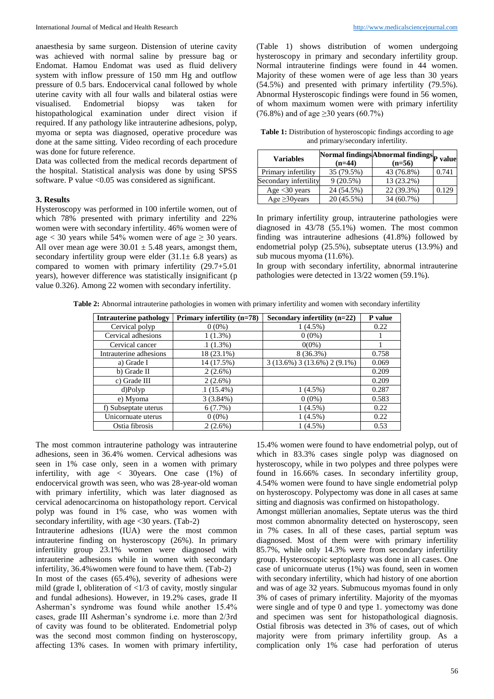anaesthesia by same surgeon. Distension of uterine cavity was achieved with normal saline by pressure bag or Endomat. Hamou Endomat was used as fluid delivery system with inflow pressure of 150 mm Hg and outflow pressure of 0.5 bars. Endocervical canal followed by whole uterine cavity with all four walls and bilateral ostias were Endometrial biopsy was taken for histopathological examination under direct vision if required. If any pathology like intrauterine adhesions, polyp, myoma or septa was diagnosed, operative procedure was done at the same sitting. Video recording of each procedure was done for future reference.

Data was collected from the medical records department of the hospital. Statistical analysis was done by using SPSS software. P value <0.05 was considered as significant.

#### **3. Results**

Hysteroscopy was performed in 100 infertile women, out of which 78% presented with primary infertility and 22% women were with secondary infertility. 46% women were of age  $<$  30 years while 54% women were of age  $\geq$  30 years. All over mean age were  $30.01 \pm 5.48$  years, amongst them, secondary infertility group were elder  $(31.1 \pm 6.8 \text{ years})$  as compared to women with primary infertility (29.7+5.01 years), however difference was statistically insignificant (p value 0.326). Among 22 women with secondary infertility.

(Table 1) shows distribution of women undergoing hysteroscopy in primary and secondary infertility group. Normal intrauterine findings were found in 44 women. Majority of these women were of age less than 30 years (54.5%) and presented with primary infertility (79.5%). Abnormal Hysteroscopic findings were found in 56 women, of whom maximum women were with primary infertility (76.8%) and of age ≥30 years (60.7%)

**Table 1:** Distribution of hysteroscopic findings according to age and primary/secondary infertility.

| <b>Variables</b>      | Normal findings Abnormal findings <sub>p</sub> |            | value |  |
|-----------------------|------------------------------------------------|------------|-------|--|
|                       | $(n=44)$                                       | $(n=56)$   |       |  |
| Primary infertility   | 35 (79.5%)                                     | 43 (76.8%) | 0.741 |  |
| Secondary infertility | 9(20.5%)                                       | 13 (23.2%) |       |  |
| Age $<$ 30 years      | 24 (54.5%)                                     | 22 (39.3%) | 0.129 |  |
| Age $\geq$ 30 years   | .20(45.5%)                                     | 34 (60.7%) |       |  |

In primary infertility group, intrauterine pathologies were diagnosed in 43/78 (55.1%) women. The most common finding was intrauterine adhesions (41.8%) followed by endometrial polyp (25.5%), subseptate uterus (13.9%) and sub mucous myoma (11.6%).

In group with secondary infertility, abnormal intrauterine pathologies were detected in 13/22 women (59.1%).

|  |  |  | Table 2: Abnormal intrauterine pathologies in women with primary infertility and women with secondary infertility |
|--|--|--|-------------------------------------------------------------------------------------------------------------------|
|--|--|--|-------------------------------------------------------------------------------------------------------------------|

| <b>Intrauterine pathology</b> | Primary infertility (n=78) | Secondary infertility $(n=22)$       | P value |
|-------------------------------|----------------------------|--------------------------------------|---------|
| Cervical polyp                | $0(0\%)$                   | $1(4.5\%)$                           | 0.22    |
| Cervical adhesions            | $1(1.3\%)$                 | $0(0\%)$                             |         |
| Cervical cancer               | $(1.3\%)$                  | $0(0\%)$                             |         |
| Intrauterine adhesions        | 18 (23.1%)                 | $8(36.3\%)$                          | 0.758   |
| a) Grade I                    | 14 (17.5%)                 | $3(13.6\%)$ 3 $(13.6\%)$ 2 $(9.1\%)$ | 0.069   |
| b) Grade II                   | $2(2.6\%)$                 |                                      | 0.209   |
| $c)$ Grade III                | $2(2.6\%)$                 |                                      | 0.209   |
| d)Polyp                       | $1(15.4\%)$                | $1(4.5\%)$                           | 0.287   |
| e) Myoma                      | 3(3.84%)                   | $0(0\%)$                             | 0.583   |
| f) Subseptate uterus          | 6(7.7%)                    | $1(4.5\%)$                           | 0.22    |
| Unicornuate uterus            | $0(0\%)$                   | $1(4.5\%)$                           | 0.22    |
| Ostia fibrosis                | $2(2.6\%)$                 | $1(4.5\%)$                           | 0.53    |

The most common intrauterine pathology was intrauterine adhesions, seen in 36.4% women. Cervical adhesions was seen in 1% case only, seen in a women with primary infertility, with age < 30years. One case (1%) of endocervical growth was seen, who was 28-year-old woman with primary infertility, which was later diagnosed as cervical adenocarcinoma on histopathology report. Cervical polyp was found in 1% case, who was women with secondary infertility, with age <30 years. (Tab-2)

Intrauterine adhesions (IUA) were the most common intrauterine finding on hysteroscopy (26%). In primary infertility group 23.1% women were diagnosed with intrauterine adhesions while in women with secondary infertility, 36.4%women were found to have them. (Tab-2) In most of the cases (65.4%), severity of adhesions were mild (grade I, obliteration of <1/3 of cavity, mostly singular and fundal adhesions). However, in 19.2% cases, grade II Asherman's syndrome was found while another 15.4% cases, grade III Asherman's syndrome i.e. more than 2/3rd of cavity was found to be obliterated. Endometrial polyp was the second most common finding on hysteroscopy, affecting 13% cases. In women with primary infertility,

15.4% women were found to have endometrial polyp, out of which in 83.3% cases single polyp was diagnosed on hysteroscopy, while in two polypes and three polypes were found in 16.66% cases. In secondary infertility group, 4.54% women were found to have single endometrial polyp on hysteroscopy. Polypectomy was done in all cases at same sitting and diagnosis was confirmed on histopathology.

Amongst müllerian anomalies, Septate uterus was the third most common abnormality detected on hysteroscopy, seen in 7% cases. In all of these cases, partial septum was diagnosed. Most of them were with primary infertility 85.7%, while only 14.3% were from secondary infertility group. Hysteroscopic septoplasty was done in all cases. One case of unicornuate uterus (1%) was found, seen in women with secondary infertility, which had history of one abortion and was of age 32 years. Submucous myomas found in only 3% of cases of primary infertility. Majority of the myomas were single and of type 0 and type 1. yomectomy was done and specimen was sent for histopathological diagnosis. Ostial fibrosis was detected in 3% of cases, out of which majority were from primary infertility group. As a complication only 1% case had perforation of uterus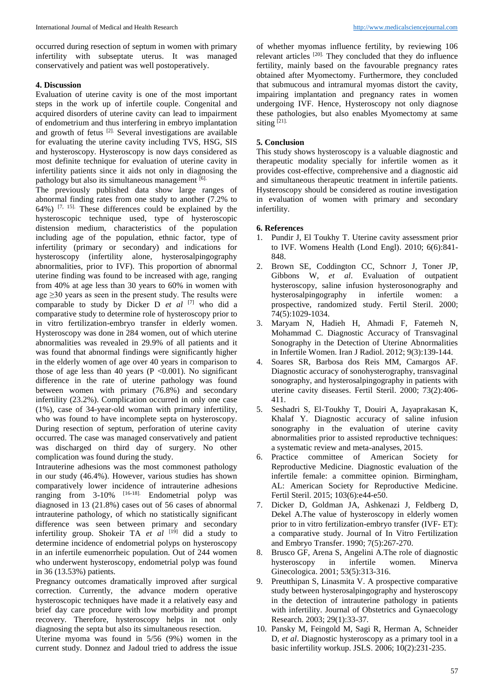occurred during resection of septum in women with primary infertility with subseptate uterus. It was managed conservatively and patient was well postoperatively.

#### **4. Discussion**

Evaluation of uterine cavity is one of the most important steps in the work up of infertile couple. Congenital and acquired disorders of uterine cavity can lead to impairment of endometrium and thus interfering in embryo implantation and growth of fetus [2]. Several investigations are available for evaluating the uterine cavity including TVS, HSG, SIS and hysteroscopy. Hysteroscopy is now days considered as most definite technique for evaluation of uterine cavity in infertility patients since it aids not only in diagnosing the pathology but also its simultaneous management [6].

The previously published data show large ranges of abnormal finding rates from one study to another (7.2% to 64%) [7, 15]. These differences could be explained by the hysteroscopic technique used, type of hysteroscopic distension medium, characteristics of the population including age of the population, ethnic factor, type of infertility (primary or secondary) and indications for hysteroscopy (infertility alone, hysterosalpingography abnormalities, prior to IVF). This proportion of abnormal uterine finding was found to be increased with age, ranging from 40% at age less than 30 years to 60% in women with age  $\geq$ 30 years as seen in the present study. The results were comparable to study by Dicker D *et al* [7] who did a comparative study to determine role of hysteroscopy prior to in vitro fertilization-embryo transfer in elderly women. Hysteroscopy was done in 284 women, out of which uterine abnormalities was revealed in 29.9% of all patients and it was found that abnormal findings were significantly higher in the elderly women of age over 40 years in comparison to those of age less than 40 years ( $P < 0.001$ ). No significant difference in the rate of uterine pathology was found between women with primary (76.8%) and secondary infertility (23.2%). Complication occurred in only one case (1%), case of 34-year-old woman with primary infertility, who was found to have incomplete septa on hysteroscopy. During resection of septum, perforation of uterine cavity occurred. The case was managed conservatively and patient was discharged on third day of surgery. No other complication was found during the study.

Intrauterine adhesions was the most commonest pathology in our study (46.4%). However, various studies has shown comparatively lower incidence of intrauterine adhesions ranging from 3-10% [16-18]. Endometrial polyp was diagnosed in 13 (21.8%) cases out of 56 cases of abnormal intrauterine pathology, of which no statistically significant difference was seen between primary and secondary infertility group. Shokeir TA *et al* [19] did a study to determine incidence of endometrial polyps on hysteroscopy in an infertile eumenorrheic population. Out of 244 women who underwent hysteroscopy, endometrial polyp was found in 36 (13.53%) patients.

Pregnancy outcomes dramatically improved after surgical correction. Currently, the advance modern operative hysteroscopic techniques have made it a relatively easy and brief day care procedure with low morbidity and prompt recovery. Therefore, hysteroscopy helps in not only diagnosing the septa but also its simultaneous resection.

Uterine myoma was found in 5/56 (9%) women in the current study. Donnez and Jadoul tried to address the issue

of whether myomas influence fertility, by reviewing 106 relevant articles <sup>[20].</sup> They concluded that they do influence fertility, mainly based on the favourable pregnancy rates obtained after Myomectomy. Furthermore, they concluded that submucous and intramural myomas distort the cavity, impairing implantation and pregnancy rates in women undergoing IVF. Hence, Hysteroscopy not only diagnose these pathologies, but also enables Myomectomy at same siting  $[21]$ .

#### **5. Conclusion**

This study shows hysteroscopy is a valuable diagnostic and therapeutic modality specially for infertile women as it provides cost-effective, comprehensive and a diagnostic aid and simultaneous therapeutic treatment in infertile patients. Hysteroscopy should be considered as routine investigation in evaluation of women with primary and secondary infertility.

### **6. References**

- 1. Pundir J, El Toukhy T. Uterine cavity assessment prior to IVF. Womens Health (Lond Engl). 2010; 6(6):841- 848.
- 2. Brown SE, Coddington CC, Schnorr J, Toner JP, Gibbons W, *et al*. Evaluation of outpatient hysteroscopy, saline infusion hysterosonography and hysterosalpingography in infertile women: a prospective, randomized study. Fertil Steril. 2000; 74(5):1029-1034.
- 3. Maryam N, Hadieh H, Ahmadi F, Fatemeh N, Mohammad C. Diagnostic Accuracy of Transvaginal Sonography in the Detection of Uterine Abnormalities in Infertile Women. Iran J Radiol. 2012; 9(3):139-144.
- 4. Soares SR, Barbosa dos Reis MM, Camargos AF. Diagnostic accuracy of sonohysterography, transvaginal sonography, and hysterosalpingography in patients with uterine cavity diseases. Fertil Steril. 2000; 73(2):406- 411.
- 5. Seshadri S, El-Toukhy T, Douiri A, Jayaprakasan K, Khalaf Y. Diagnostic accuracy of saline infusion sonography in the evaluation of uterine cavity abnormalities prior to assisted reproductive techniques: a systematic review and meta-analyses, 2015.
- 6. Practice committee of American Society for Reproductive Medicine. Diagnostic evaluation of the infertile female: a committee opinion. Birmingham, AL: American Society for Reproductive Medicine. Fertil Steril. 2015; 103(6):e44-e50.
- 7. Dicker D, Goldman JA, Ashkenazi J, Feldberg D, Dekel A.The value of hysteroscopy in elderly women prior to in vitro fertilization-embryo transfer (IVF- ET): a comparative study. Journal of In Vitro Fertilization and Embryo Transfer. 1990; 7(5):267-270.
- 8. Brusco GF, Arena S, Angelini A.The role of diagnostic hysteroscopy in infertile women. Minerva Ginecologica. 2001; 53(5):313-316.
- 9. Preutthipan S, Linasmita V. A prospective comparative study between hysterosalpingography and hysteroscopy in the detection of intrauterine pathology in patients with infertility. Journal of Obstetrics and Gynaecology Research. 2003; 29(1):33-37.
- 10. Pansky M, Feingold M, Sagi R, Herman A, Schneider D, *et al*. Diagnostic hysteroscopy as a primary tool in a basic infertility workup. JSLS. 2006; 10(2):231-235.